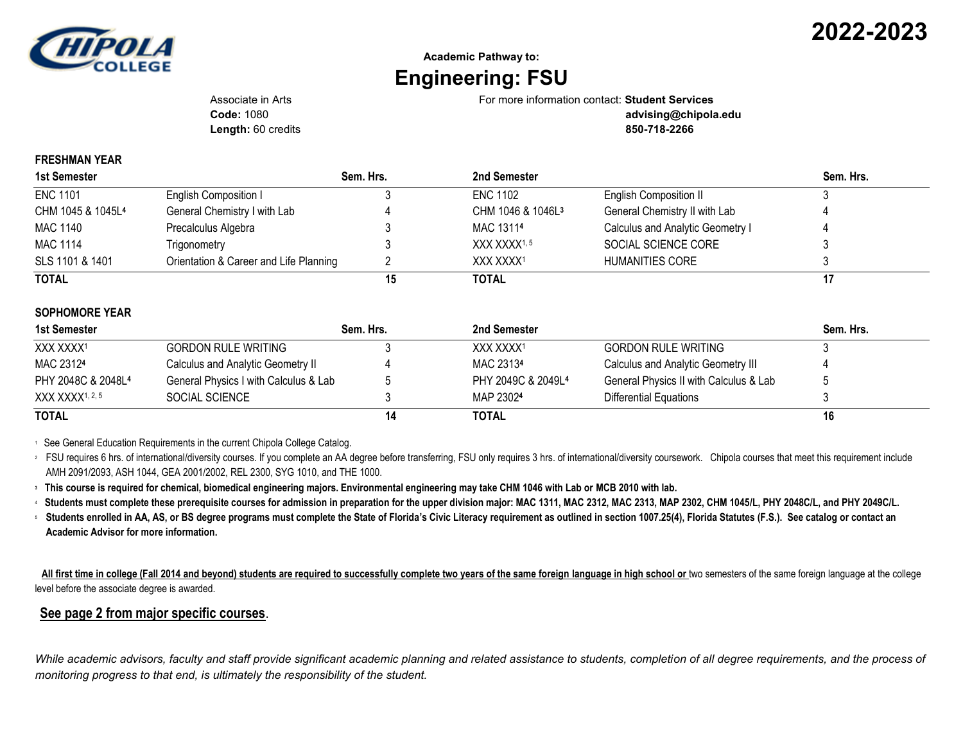

## **Academic Pathway to: Engineering: FSU**

Associate in Arts For more information contact: **Student Services**

**Length:** 60 credits **850-718-2266**

**Code:** 1080 **advising@chipola.edu**

## **FRESHMAN YEAR**

| 1st Semester                  |                                        | Sem. Hrs. | 2nd Semester                  |                                  | Sem. Hrs. |
|-------------------------------|----------------------------------------|-----------|-------------------------------|----------------------------------|-----------|
| <b>ENC 1101</b>               | English Composition I                  |           | <b>ENC 1102</b>               | <b>English Composition II</b>    |           |
| CHM 1045 & 1045L <sup>4</sup> | General Chemistry I with Lab           |           | CHM 1046 & 1046L <sup>3</sup> | General Chemistry II with Lab    |           |
| <b>MAC 1140</b>               | Precalculus Algebra                    |           | MAC 13114                     | Calculus and Analytic Geometry I |           |
| <b>MAC 1114</b>               | Trigonometry                           |           | XXX XXXX <sup>1,5</sup>       | SOCIAL SCIENCE CORE              |           |
| SLS 1101 & 1401               | Orientation & Career and Life Planning |           | XXX XXXX1                     | HUMANITIES CORE                  |           |
| <b>TOTAL</b>                  |                                        | 15        | <b>TOTAL</b>                  |                                  |           |

## **SOPHOMORE YEAR**

| 1st Semester                   |                                       | Sem. Hrs. | 2nd Semester          |                                        | Sem. Hrs. |
|--------------------------------|---------------------------------------|-----------|-----------------------|----------------------------------------|-----------|
| XXX XXXX1                      | <b>GORDON RULE WRITING</b>            |           | XXX XXXX <sup>1</sup> | GORDON RULE WRITING                    |           |
| MAC 23124                      | Calculus and Analytic Geometry II     |           | MAC 23134             | Calculus and Analytic Geometry III     |           |
| PHY 2048C & 2048L <sup>4</sup> | General Physics I with Calculus & Lab |           | PHY 2049C & 2049L4    | General Physics II with Calculus & Lab |           |
| XXX XXXX1, 2, 5                | SOCIAL SCIENCE                        |           | MAP 23024             | Differential Equations                 |           |
| <b>TOTAL</b>                   |                                       | 14        | TOTAL                 |                                        | 16        |

<sup>1</sup> See General Education Requirements in the current Chipola College Catalog.

<sup>2</sup> FSU requires 6 hrs. of international/diversity courses. If you complete an AA degree before transferring, FSU only requires 3 hrs. of international/diversity coursework. Chipola courses that meet this requirement inclu AMH 2091/2093, ASH 1044, GEA 2001/2002, REL 2300, SYG 1010, and THE 1000.

**<sup>3</sup> This course is required for chemical, biomedical engineering majors. Environmental engineering may take CHM 1046 with Lab or MCB 2010 with lab.**

<sup>4</sup> **Students must complete these prerequisite courses for admission in preparation for the upper division major: MAC 1311, MAC 2312, MAC 2313, MAP 2302, CHM 1045/L, PHY 2048C/L, and PHY 2049C/L.**

<sup>5</sup>**Students enrolled in AA, AS, or BS degree programs must complete the State of Florida's Civic Literacy requirement as outlined in section 1007.25(4), Florida Statutes (F.S.). See catalog or contact an Academic Advisor for more information.**

 **All first time in college (Fall 2014 and beyond) students are required to successfully complete two years of the same foreign language in high school or** two semesters of the same foreign language at the college level before the associate degree is awarded.

## **See page 2 from major specific courses**.

While academic advisors, faculty and staff provide significant academic planning and related assistance to students, completion of all degree requirements, and the process of *monitoring progress to that end, is ultimately the responsibility of the student.*